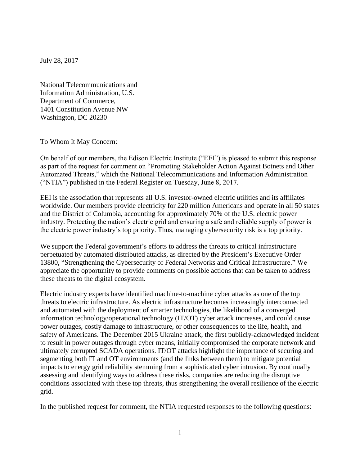July 28, 2017

National Telecommunications and Information Administration, U.S. Department of Commerce, 1401 Constitution Avenue NW Washington, DC 20230

To Whom It May Concern:

On behalf of our members, the Edison Electric Institute ("EEI") is pleased to submit this response as part of the request for comment on "Promoting Stakeholder Action Against Botnets and Other Automated Threats," which the National Telecommunications and Information Administration ("NTIA") published in the Federal Register on Tuesday, June 8, 2017.

EEI is the association that represents all U.S. investor-owned electric utilities and its affiliates worldwide. Our members provide electricity for 220 million Americans and operate in all 50 states and the District of Columbia, accounting for approximately 70% of the U.S. electric power industry. Protecting the nation's electric grid and ensuring a safe and reliable supply of power is the electric power industry's top priority. Thus, managing cybersecurity risk is a top priority.

We support the Federal government's efforts to address the threats to critical infrastructure perpetuated by automated distributed attacks, as directed by the President's Executive Order 13800, "Strengthening the Cybersecurity of Federal Networks and Critical Infrastructure." We appreciate the opportunity to provide comments on possible actions that can be taken to address these threats to the digital ecosystem.

Electric industry experts have identified machine-to-machine cyber attacks as one of the top threats to electric infrastructure. As electric infrastructure becomes increasingly interconnected and automated with the deployment of smarter technologies, the likelihood of a converged information technology/operational technology (IT/OT) cyber attack increases, and could cause power outages, costly damage to infrastructure, or other consequences to the life, health, and safety of Americans. The December 2015 Ukraine attack, the first publicly-acknowledged incident to result in power outages through cyber means, initially compromised the corporate network and ultimately corrupted SCADA operations. IT/OT attacks highlight the importance of securing and segmenting both IT and OT environments (and the links between them) to mitigate potential impacts to energy grid reliability stemming from a sophisticated cyber intrusion. By continually assessing and identifying ways to address these risks, companies are reducing the disruptive conditions associated with these top threats, thus strengthening the overall resilience of the electric grid.

In the published request for comment, the NTIA requested responses to the following questions: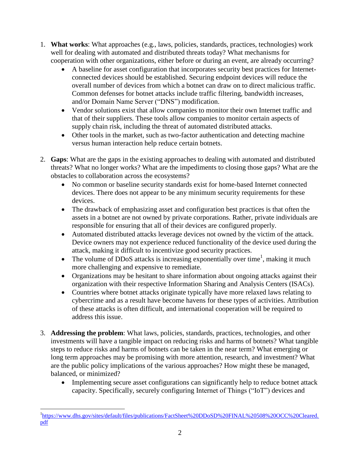- 1. **What works**: What approaches (e.g., laws, policies, standards, practices, technologies) work well for dealing with automated and distributed threats today? What mechanisms for cooperation with other organizations, either before or during an event, are already occurring?
	- A baseline for asset configuration that incorporates security best practices for Internetconnected devices should be established. Securing endpoint devices will reduce the overall number of devices from which a botnet can draw on to direct malicious traffic. Common defenses for botnet attacks include traffic filtering, bandwidth increases, and/or Domain Name Server ("DNS") modification.
	- Vendor solutions exist that allow companies to monitor their own Internet traffic and that of their suppliers. These tools allow companies to monitor certain aspects of supply chain risk, including the threat of automated distributed attacks.
	- Other tools in the market, such as two-factor authentication and detecting machine versus human interaction help reduce certain botnets.
- 2. **Gaps**: What are the gaps in the existing approaches to dealing with automated and distributed threats? What no longer works? What are the impediments to closing those gaps? What are the obstacles to collaboration across the ecosystems?
	- No common or baseline security standards exist for home-based Internet connected devices. There does not appear to be any minimum security requirements for these devices.
	- The drawback of emphasizing asset and configuration best practices is that often the assets in a botnet are not owned by private corporations. Rather, private individuals are responsible for ensuring that all of their devices are configured properly.
	- Automated distributed attacks leverage devices not owned by the victim of the attack. Device owners may not experience reduced functionality of the device used during the attack, making it difficult to incentivize good security practices.
	- The volume of DDoS attacks is increasing exponentially over time<sup>1</sup>, making it much more challenging and expensive to remediate.
	- Organizations may be hesitant to share information about ongoing attacks against their organization with their respective Information Sharing and Analysis Centers (ISACs).
	- Countries where botnet attacks originate typically have more relaxed laws relating to cybercrime and as a result have become havens for these types of activities. Attribution of these attacks is often difficult, and international cooperation will be required to address this issue.
- 3. **Addressing the problem**: What laws, policies, standards, practices, technologies, and other investments will have a tangible impact on reducing risks and harms of botnets? What tangible steps to reduce risks and harms of botnets can be taken in the near term? What emerging or long term approaches may be promising with more attention, research, and investment? What are the public policy implications of the various approaches? How might these be managed, balanced, or minimized?
	- Implementing secure asset configurations can significantly help to reduce botnet attack capacity. Specifically, securely configuring Internet of Things ("IoT") devices and

 $\overline{a}$ <sup>1</sup>[https://www.dhs.gov/sites/default/files/publications/FactSheet%20DDoSD%20FINAL%20508%20OCC%20Cleared.](https://www.dhs.gov/sites/default/files/publications/FactSheet%20DDoSD%20FINAL%20508%20OCC%20Cleared.pdf) [pdf](https://www.dhs.gov/sites/default/files/publications/FactSheet%20DDoSD%20FINAL%20508%20OCC%20Cleared.pdf)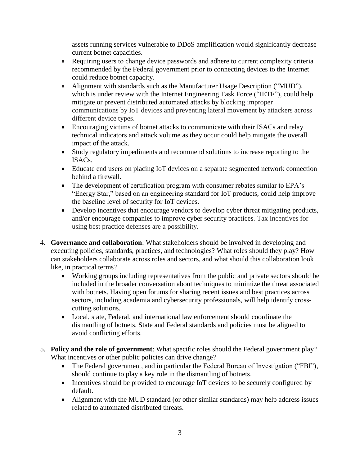assets running services vulnerable to DDoS amplification would significantly decrease current botnet capacities.

- Requiring users to change device passwords and adhere to current complexity criteria recommended by the Federal government prior to connecting devices to the Internet could reduce botnet capacity.
- Alignment with standards such as the Manufacturer Usage Description ("MUD"), which is under review with the Internet Engineering Task Force ("IETF"), could help mitigate or prevent distributed automated attacks by blocking improper communications by IoT devices and preventing lateral movement by attackers across different device types.
- Encouraging victims of botnet attacks to communicate with their ISACs and relay technical indicators and attack volume as they occur could help mitigate the overall impact of the attack.
- Study regulatory impediments and recommend solutions to increase reporting to the ISACs.
- Educate end users on placing IoT devices on a separate segmented network connection behind a firewall.
- The development of certification program with consumer rebates similar to EPA's "Energy Star," based on an engineering standard for IoT products, could help improve the baseline level of security for IoT devices.
- Develop incentives that encourage vendors to develop cyber threat mitigating products, and/or encourage companies to improve cyber security practices. Tax incentives for using best practice defenses are a possibility.
- 4. **Governance and collaboration**: What stakeholders should be involved in developing and executing policies, standards, practices, and technologies? What roles should they play? How can stakeholders collaborate across roles and sectors, and what should this collaboration look like, in practical terms?
	- Working groups including representatives from the public and private sectors should be included in the broader conversation about techniques to minimize the threat associated with botnets. Having open forums for sharing recent issues and best practices across sectors, including academia and cybersecurity professionals, will help identify crosscutting solutions.
	- Local, state, Federal, and international law enforcement should coordinate the dismantling of botnets. State and Federal standards and policies must be aligned to avoid conflicting efforts.
- 5. **Policy and the role of government**: What specific roles should the Federal government play? What incentives or other public policies can drive change?
	- The Federal government, and in particular the Federal Bureau of Investigation ("FBI"), should continue to play a key role in the dismantling of botnets.
	- Incentives should be provided to encourage IoT devices to be securely configured by default.
	- Alignment with the MUD standard (or other similar standards) may help address issues related to automated distributed threats.